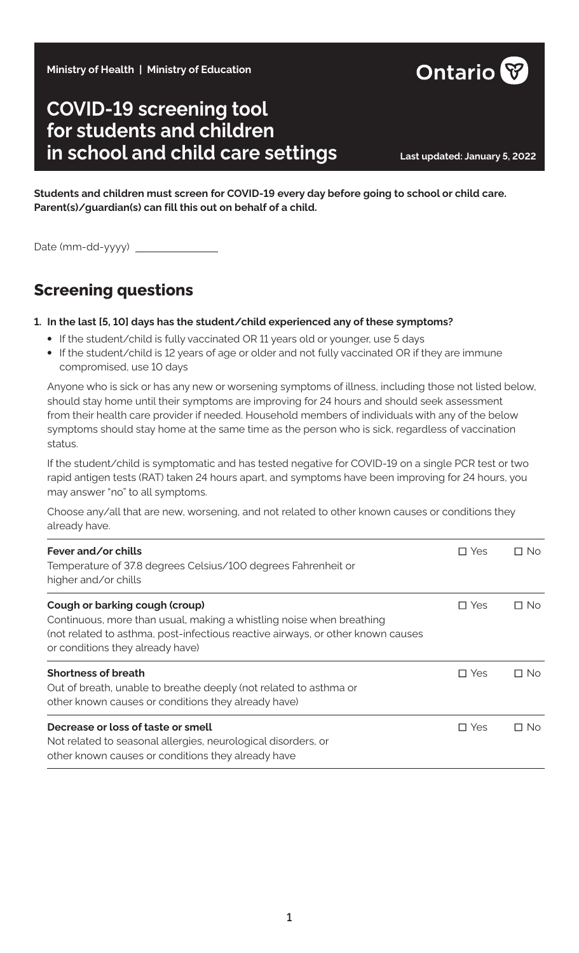**Ministry of Health | Ministry of Education**

# **COVID-19 screening tool for students and children in school and child care settings Last updated: January 5, 2022**

**Students and children must screen for COVID-19 every day before going to school or child care. Parent(s)/guardian(s) can fill this out on behalf of a child.**

Date (mm-dd-yyyy) \_

## **Screening questions**

#### **1. In the last [5, 10] days has the student/child experienced any of these symptoms?**

- **•** If the student/child is fully vaccinated OR 11 years old or younger, use 5 days
- **•** If the student/child is 12 years of age or older and not fully vaccinated OR if they are immune compromised, use 10 days

Anyone who is sick or has any new or worsening symptoms of illness, including those not listed below, should stay home until their symptoms are improving for 24 hours and should seek assessment from their health care provider if needed. Household members of individuals with any of the below symptoms should stay home at the same time as the person who is sick, regardless of vaccination status.

If the student/child is symptomatic and has tested negative for COVID-19 on a single PCR test or two rapid antigen tests (RAT) taken 24 hours apart, and symptoms have been improving for 24 hours, you may answer "no" to all symptoms.

Choose any/all that are new, worsening, and not related to other known causes or conditions they already have.

| Fever and/or chills<br>Temperature of 37.8 degrees Celsius/100 degrees Fahrenheit or<br>higher and/or chills                                                                                                                  | □ Yes         | $\Box$ No |
|-------------------------------------------------------------------------------------------------------------------------------------------------------------------------------------------------------------------------------|---------------|-----------|
| Cough or barking cough (croup)<br>Continuous, more than usual, making a whistling noise when breathing<br>(not related to asthma, post-infectious reactive airways, or other known causes<br>or conditions they already have) | $\square$ Yes | $\Box$ No |
| <b>Shortness of breath</b><br>Out of breath, unable to breathe deeply (not related to asthma or<br>other known causes or conditions they already have)                                                                        | $\Box$ Yes    | $\Box$ No |
| Decrease or loss of taste or smell<br>Not related to seasonal allergies, neurological disorders, or<br>other known causes or conditions they already have                                                                     | $\Box$ Yes    | $\Box$ No |

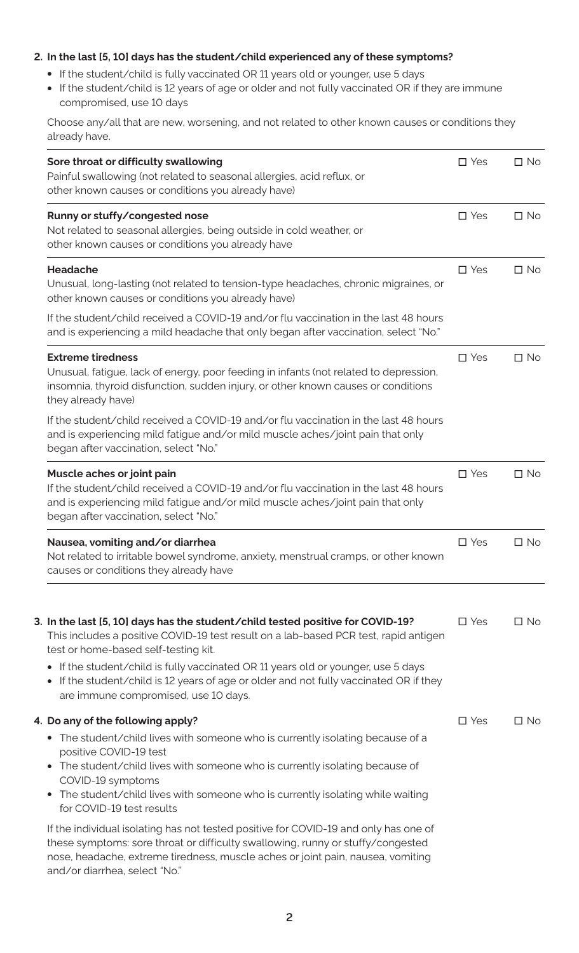#### **2. In the last [5, 10] days has the student/child experienced any of these symptoms?**

- **•** If the student/child is fully vaccinated OR 11 years old or younger, use 5 days
- **•** If the student/child is 12 years of age or older and not fully vaccinated OR if they are immune compromised, use 10 days

Choose any/all that are new, worsening, and not related to other known causes or conditions they already have.

| Sore throat or difficulty swallowing<br>Painful swallowing (not related to seasonal allergies, acid reflux, or<br>other known causes or conditions you already have)                                                                                                                                                                                                                                                                                         | $\square$ Yes | $\Box$ No |
|--------------------------------------------------------------------------------------------------------------------------------------------------------------------------------------------------------------------------------------------------------------------------------------------------------------------------------------------------------------------------------------------------------------------------------------------------------------|---------------|-----------|
| Runny or stuffy/congested nose<br>Not related to seasonal allergies, being outside in cold weather, or<br>other known causes or conditions you already have                                                                                                                                                                                                                                                                                                  | $\square$ Yes | $\Box$ No |
| Headache<br>Unusual, long-lasting (not related to tension-type headaches, chronic migraines, or<br>other known causes or conditions you already have)                                                                                                                                                                                                                                                                                                        | $\square$ Yes | $\Box$ No |
| If the student/child received a COVID-19 and/or flu vaccination in the last 48 hours<br>and is experiencing a mild headache that only began after vaccination, select "No."                                                                                                                                                                                                                                                                                  |               |           |
| <b>Extreme tiredness</b><br>Unusual, fatigue, lack of energy, poor feeding in infants (not related to depression,<br>insomnia, thyroid disfunction, sudden injury, or other known causes or conditions<br>they already have)                                                                                                                                                                                                                                 | $\square$ Yes | $\Box$ No |
| If the student/child received a COVID-19 and/or flu vaccination in the last 48 hours<br>and is experiencing mild fatigue and/or mild muscle aches/joint pain that only<br>began after vaccination, select "No."                                                                                                                                                                                                                                              |               |           |
| Muscle aches or joint pain<br>If the student/child received a COVID-19 and/or flu vaccination in the last 48 hours<br>and is experiencing mild fatigue and/or mild muscle aches/joint pain that only<br>began after vaccination, select "No."                                                                                                                                                                                                                | $\square$ Yes | $\Box$ No |
| Nausea, vomiting and/or diarrhea<br>Not related to irritable bowel syndrome, anxiety, menstrual cramps, or other known<br>causes or conditions they already have                                                                                                                                                                                                                                                                                             | $\square$ Yes | $\Box$ No |
| 3. In the last [5, 10] days has the student/child tested positive for COVID-19?<br>This includes a positive COVID-19 test result on a lab-based PCR test, rapid antigen<br>test or home-based self-testing kit.<br>If the student/child is fully vaccinated OR 11 years old or younger, use 5 days<br>$\bullet$<br>If the student/child is 12 years of age or older and not fully vaccinated OR if they<br>$\bullet$<br>are immune compromised, use 10 days. | $\square$ Yes | $\Box$ No |
| 4. Do any of the following apply?<br>• The student/child lives with someone who is currently isolating because of a<br>positive COVID-19 test<br>• The student/child lives with someone who is currently isolating because of<br>COVID-19 symptoms<br>The student/child lives with someone who is currently isolating while waiting<br>for COVID-19 test results                                                                                             | $\square$ Yes | $\Box$ No |
| If the individual isolating has not tested positive for COVID-19 and only has one of<br>these symptoms: sore throat or difficulty swallowing, runny or stuffy/congested<br>nose, headache, extreme tiredness, muscle aches or joint pain, nausea, vomiting<br>and/or diarrhea, select "No."                                                                                                                                                                  |               |           |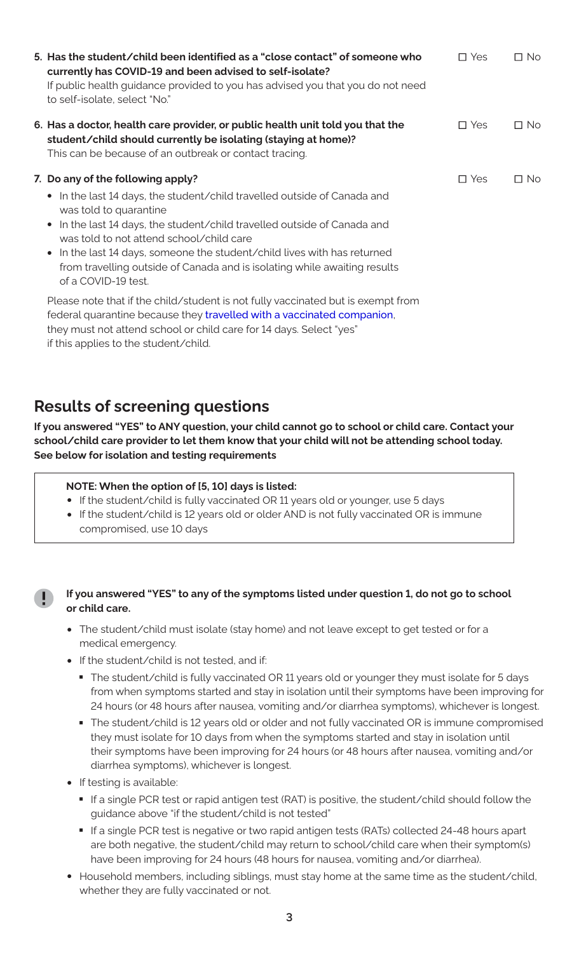| 5. Has the student/child been identified as a "close contact" of someone who<br>currently has COVID-19 and been advised to self-isolate?<br>If public health guidance provided to you has advised you that you do not need<br>to self-isolate, select "No."                                                                                                                                                                                                           | $\Box$ Yes | $\Box$ No |
|-----------------------------------------------------------------------------------------------------------------------------------------------------------------------------------------------------------------------------------------------------------------------------------------------------------------------------------------------------------------------------------------------------------------------------------------------------------------------|------------|-----------|
| 6. Has a doctor, health care provider, or public health unit told you that the<br>student/child should currently be isolating (staying at home)?<br>This can be because of an outbreak or contact tracing.                                                                                                                                                                                                                                                            | $\Box$ Yes | $\Box$ No |
| 7. Do any of the following apply?<br>• In the last 14 days, the student/child travelled outside of Canada and<br>was told to quarantine<br>In the last 14 days, the student/child travelled outside of Canada and<br>$\bullet$<br>was told to not attend school/child care<br>In the last 14 days, someone the student/child lives with has returned<br>$\bullet$<br>from travelling outside of Canada and is isolating while awaiting results<br>of a COVID-19 test. | $\Box$ Yes | $\Box$ No |
| Please note that if the child/student is not fully vaccinated but is exempt from<br>federal quarantine because they travelled with a vaccinated companion,<br>they must not attend school or child care for 14 days. Select "yes"<br>if this applies to the student/child.                                                                                                                                                                                            |            |           |

### **Results of screening questions**

**If you answered "YES" to ANY question, your child cannot go to school or child care. Contact your school/child care provider to let them know that your child will not be attending school today. See below for isolation and testing requirements**

#### **NOTE: When the option of [5, 10] days is listed:**

- **•** If the student/child is fully vaccinated OR 11 years old or younger, use 5 days
- **•** If the student/child is 12 years old or older AND is not fully vaccinated OR is immune compromised, use 10 days

#### **If you answered "YES" to any of the symptoms listed under question 1, do not go to school or child care.**

- **•** The student/child must isolate (stay home) and not leave except to get tested or for a medical emergency.
- **•** If the student/child is not tested, and if:
	- The student/child is fully vaccinated OR 11 years old or younger they must isolate for 5 days from when symptoms started and stay in isolation until their symptoms have been improving for 24 hours (or 48 hours after nausea, vomiting and/or diarrhea symptoms), whichever is longest.<br>■ The student/child is 12 years old or older and not fully vaccinated OR is immune compromised
	- they must isolate for 10 days from when the symptoms started and stay in isolation until their symptoms have been improving for 24 hours (or 48 hours after nausea, vomiting and/or diarrhea symptoms), whichever is longest.
- **•** If testing is available:
	- If a single PCR test or rapid antigen test (RAT) is positive, the student/child should follow the
	- guidance above "if the student/child is not tested"<br>■ If a single PCR test is negative or two rapid antigen tests (RATs) collected 24-48 hours apart are both negative, the student/child may return to school/child care when their symptom(s) have been improving for 24 hours (48 hours for nausea, vomiting and/or diarrhea).
- **•** Household members, including siblings, must stay home at the same time as the student/child, whether they are fully vaccinated or not.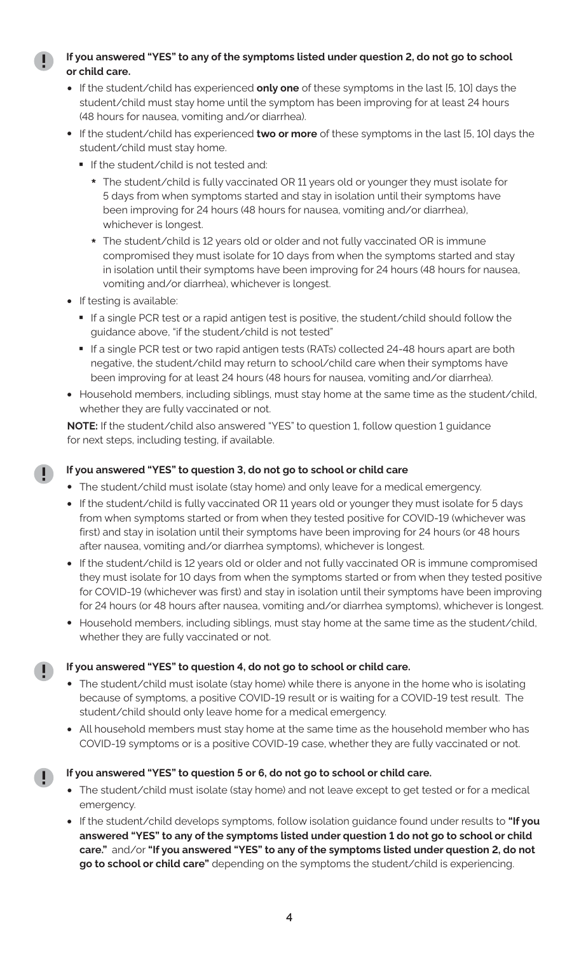#### **If you answered "YES" to any of the symptoms listed under question 2, do not go to school or child care.**

- **•** If the student/child has experienced **only one** of these symptoms in the last [5, 10] days the student/child must stay home until the symptom has been improving for at least 24 hours (48 hours for nausea, vomiting and/or diarrhea).
- **•** If the student/child has experienced **two or more** of these symptoms in the last [5, 10] days the student/child must stay home.
	- If the student/child is not tested and:
		- **\*** The student/child is fully vaccinated OR 11 years old or younger they must isolate for 5 days from when symptoms started and stay in isolation until their symptoms have been improving for 24 hours (48 hours for nausea, vomiting and/or diarrhea), whichever is longest.
		- **\*** The student/child is 12 years old or older and not fully vaccinated OR is immune compromised they must isolate for 10 days from when the symptoms started and stay in isolation until their symptoms have been improving for 24 hours (48 hours for nausea, vomiting and/or diarrhea), whichever is longest.
- **•** If testing is available:
	- If a single PCR test or a rapid antigen test is positive, the student/child should follow the
	- guidance above, "if the student⁄child is not tested"<br>■ If a single PCR test or two rapid antigen tests (RATs) collected 24-48 hours apart are both negative, the student/child may return to school/child care when their symptoms have been improving for at least 24 hours (48 hours for nausea, vomiting and/or diarrhea).
- **•** Household members, including siblings, must stay home at the same time as the student/child, whether they are fully vaccinated or not.

**NOTE:** If the student/child also answered "YES" to question 1, follow question 1 guidance for next steps, including testing, if available.

#### **If you answered "YES" to question 3, do not go to school or child care**

- **•** The student/child must isolate (stay home) and only leave for a medical emergency.
- **•** If the student/child is fully vaccinated OR 11 years old or younger they must isolate for 5 days from when symptoms started or from when they tested positive for COVID-19 (whichever was first) and stay in isolation until their symptoms have been improving for 24 hours (or 48 hours after nausea, vomiting and/or diarrhea symptoms), whichever is longest.
- **•** If the student/child is 12 years old or older and not fully vaccinated OR is immune compromised they must isolate for 10 days from when the symptoms started or from when they tested positive for COVID-19 (whichever was first) and stay in isolation until their symptoms have been improving for 24 hours (or 48 hours after nausea, vomiting and/or diarrhea symptoms), whichever is longest.
- **•** Household members, including siblings, must stay home at the same time as the student/child, whether they are fully vaccinated or not.

#### **If you answered "YES" to question 4, do not go to school or child care.**

- **•** The student/child must isolate (stay home) while there is anyone in the home who is isolating because of symptoms, a positive COVID-19 result or is waiting for a COVID-19 test result. The student/child should only leave home for a medical emergency.
- **•** All household members must stay home at the same time as the household member who has COVID-19 symptoms or is a positive COVID-19 case, whether they are fully vaccinated or not.

D

#### **If you answered "YES" to question 5 or 6, do not go to school or child care.**

- **•** The student/child must isolate (stay home) and not leave except to get tested or for a medical emergency.
- **•** If the student/child develops symptoms, follow isolation guidance found under results to **"If you answered "YES" to any of the symptoms listed under question 1 do not go to school or child care."** and/or **"If you answered "YES" to any of the symptoms listed under question 2, do not go to school or child care"** depending on the symptoms the student/child is experiencing.